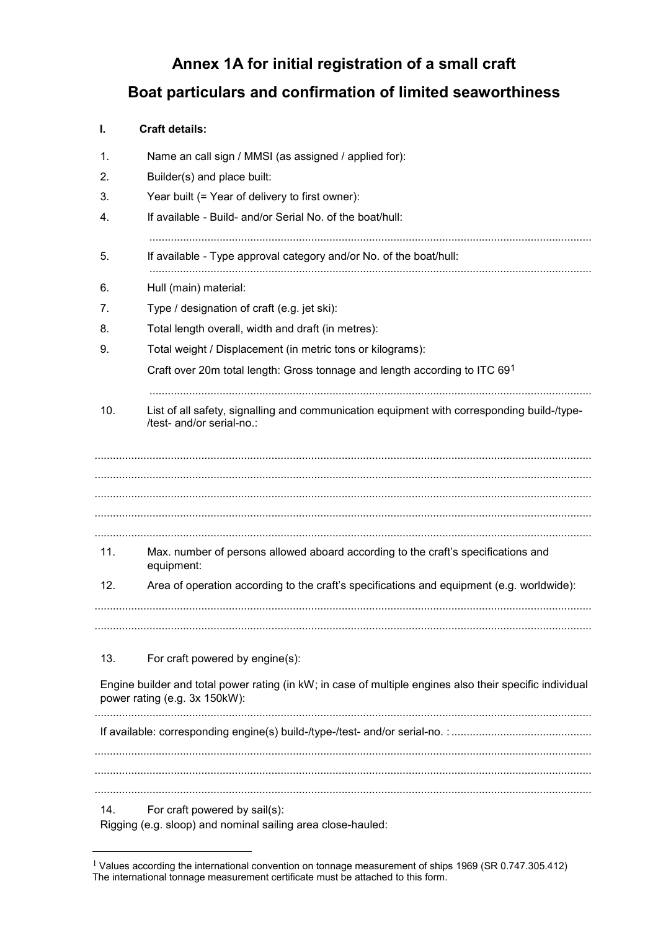## **Annex 1A for initial registration of a small craft Boat particulars and confirmation of limited seaworthiness**

## **I. Craft details:**

1

| 1.  | Name an call sign / MMSI (as assigned / applied for):                                                                                     |  |
|-----|-------------------------------------------------------------------------------------------------------------------------------------------|--|
| 2.  | Builder(s) and place built:                                                                                                               |  |
| 3.  | Year built (= Year of delivery to first owner):                                                                                           |  |
| 4.  | If available - Build- and/or Serial No. of the boat/hull:                                                                                 |  |
| 5.  | If available - Type approval category and/or No. of the boat/hull:                                                                        |  |
| 6.  | Hull (main) material:                                                                                                                     |  |
| 7.  | Type / designation of craft (e.g. jet ski):                                                                                               |  |
| 8.  | Total length overall, width and draft (in metres):                                                                                        |  |
| 9.  | Total weight / Displacement (in metric tons or kilograms):                                                                                |  |
|     | Craft over 20m total length: Gross tonnage and length according to ITC 691                                                                |  |
| 10. | List of all safety, signalling and communication equipment with corresponding build-/type-<br>/test- and/or serial-no.:                   |  |
|     |                                                                                                                                           |  |
|     |                                                                                                                                           |  |
|     |                                                                                                                                           |  |
| 11. | Max. number of persons allowed aboard according to the craft's specifications and<br>equipment:                                           |  |
| 12. | Area of operation according to the craft's specifications and equipment (e.g. worldwide):                                                 |  |
|     |                                                                                                                                           |  |
| 13. | For craft powered by engine(s):                                                                                                           |  |
|     | Engine builder and total power rating (in kW; in case of multiple engines also their specific individual<br>power rating (e.g. 3x 150kW): |  |
|     |                                                                                                                                           |  |
|     |                                                                                                                                           |  |
| 14. | For craft powered by sail(s):<br>Rigging (e.g. sloop) and nominal sailing area close-hauled:                                              |  |

<sup>1</sup> Values according the international convention on tonnage measurement of ships 1969 (SR 0.747.305.412) The international tonnage measurement certificate must be attached to this form.